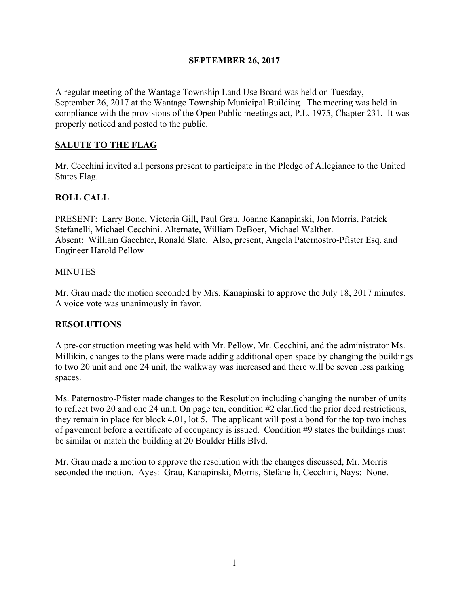#### **SEPTEMBER 26, 2017**

A regular meeting of the Wantage Township Land Use Board was held on Tuesday, September 26, 2017 at the Wantage Township Municipal Building. The meeting was held in compliance with the provisions of the Open Public meetings act, P.L. 1975, Chapter 231. It was properly noticed and posted to the public.

## **SALUTE TO THE FLAG**

Mr. Cecchini invited all persons present to participate in the Pledge of Allegiance to the United States Flag.

## **ROLL CALL**

PRESENT: Larry Bono, Victoria Gill, Paul Grau, Joanne Kanapinski, Jon Morris, Patrick Stefanelli, Michael Cecchini. Alternate, William DeBoer, Michael Walther. Absent: William Gaechter, Ronald Slate. Also, present, Angela Paternostro-Pfister Esq. and Engineer Harold Pellow

#### **MINUTES**

Mr. Grau made the motion seconded by Mrs. Kanapinski to approve the July 18, 2017 minutes. A voice vote was unanimously in favor.

## **RESOLUTIONS**

A pre-construction meeting was held with Mr. Pellow, Mr. Cecchini, and the administrator Ms. Millikin, changes to the plans were made adding additional open space by changing the buildings to two 20 unit and one 24 unit, the walkway was increased and there will be seven less parking spaces.

Ms. Paternostro-Pfister made changes to the Resolution including changing the number of units to reflect two 20 and one 24 unit. On page ten, condition #2 clarified the prior deed restrictions, they remain in place for block 4.01, lot 5. The applicant will post a bond for the top two inches of pavement before a certificate of occupancy is issued. Condition #9 states the buildings must be similar or match the building at 20 Boulder Hills Blvd.

Mr. Grau made a motion to approve the resolution with the changes discussed, Mr. Morris seconded the motion. Ayes: Grau, Kanapinski, Morris, Stefanelli, Cecchini, Nays: None.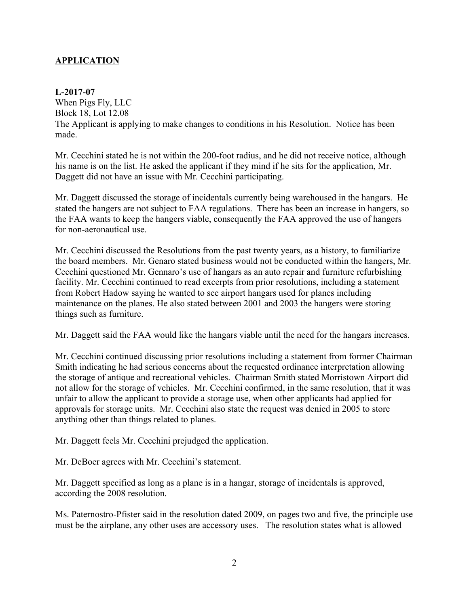# **APPLICATION**

#### **L-2017-07**

When Pigs Fly, LLC Block 18, Lot 12.08 The Applicant is applying to make changes to conditions in his Resolution. Notice has been made.

Mr. Cecchini stated he is not within the 200-foot radius, and he did not receive notice, although his name is on the list. He asked the applicant if they mind if he sits for the application, Mr. Daggett did not have an issue with Mr. Cecchini participating.

Mr. Daggett discussed the storage of incidentals currently being warehoused in the hangars. He stated the hangers are not subject to FAA regulations. There has been an increase in hangers, so the FAA wants to keep the hangers viable, consequently the FAA approved the use of hangers for non-aeronautical use.

Mr. Cecchini discussed the Resolutions from the past twenty years, as a history, to familiarize the board members. Mr. Genaro stated business would not be conducted within the hangers, Mr. Cecchini questioned Mr. Gennaro's use of hangars as an auto repair and furniture refurbishing facility. Mr. Cecchini continued to read excerpts from prior resolutions, including a statement from Robert Hadow saying he wanted to see airport hangars used for planes including maintenance on the planes. He also stated between 2001 and 2003 the hangers were storing things such as furniture.

Mr. Daggett said the FAA would like the hangars viable until the need for the hangars increases.

Mr. Cecchini continued discussing prior resolutions including a statement from former Chairman Smith indicating he had serious concerns about the requested ordinance interpretation allowing the storage of antique and recreational vehicles. Chairman Smith stated Morristown Airport did not allow for the storage of vehicles. Mr. Cecchini confirmed, in the same resolution, that it was unfair to allow the applicant to provide a storage use, when other applicants had applied for approvals for storage units. Mr. Cecchini also state the request was denied in 2005 to store anything other than things related to planes.

Mr. Daggett feels Mr. Cecchini prejudged the application.

Mr. DeBoer agrees with Mr. Cecchini's statement.

Mr. Daggett specified as long as a plane is in a hangar, storage of incidentals is approved, according the 2008 resolution.

Ms. Paternostro-Pfister said in the resolution dated 2009, on pages two and five, the principle use must be the airplane, any other uses are accessory uses. The resolution states what is allowed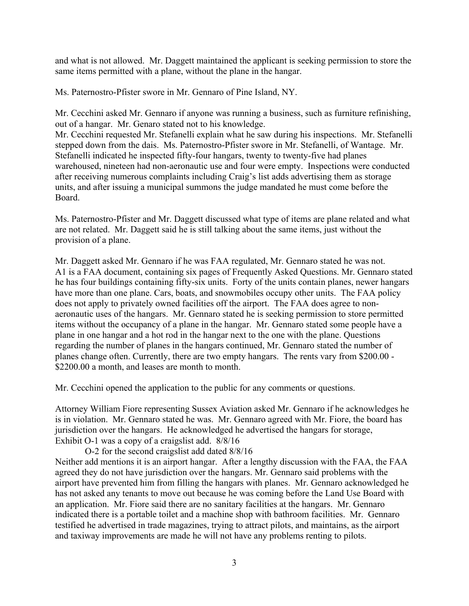and what is not allowed. Mr. Daggett maintained the applicant is seeking permission to store the same items permitted with a plane, without the plane in the hangar.

Ms. Paternostro-Pfister swore in Mr. Gennaro of Pine Island, NY.

Mr. Cecchini asked Mr. Gennaro if anyone was running a business, such as furniture refinishing, out of a hangar. Mr. Genaro stated not to his knowledge. Mr. Cecchini requested Mr. Stefanelli explain what he saw during his inspections. Mr. Stefanelli stepped down from the dais. Ms. Paternostro-Pfister swore in Mr. Stefanelli, of Wantage. Mr. Stefanelli indicated he inspected fifty-four hangars, twenty to twenty-five had planes warehoused, nineteen had non-aeronautic use and four were empty. Inspections were conducted after receiving numerous complaints including Craig's list adds advertising them as storage units, and after issuing a municipal summons the judge mandated he must come before the Board.

Ms. Paternostro-Pfister and Mr. Daggett discussed what type of items are plane related and what are not related. Mr. Daggett said he is still talking about the same items, just without the provision of a plane.

Mr. Daggett asked Mr. Gennaro if he was FAA regulated, Mr. Gennaro stated he was not. A1 is a FAA document, containing six pages of Frequently Asked Questions. Mr. Gennaro stated he has four buildings containing fifty-six units. Forty of the units contain planes, newer hangars have more than one plane. Cars, boats, and snowmobiles occupy other units. The FAA policy does not apply to privately owned facilities off the airport. The FAA does agree to nonaeronautic uses of the hangars. Mr. Gennaro stated he is seeking permission to store permitted items without the occupancy of a plane in the hangar. Mr. Gennaro stated some people have a plane in one hangar and a hot rod in the hangar next to the one with the plane. Questions regarding the number of planes in the hangars continued, Mr. Gennaro stated the number of planes change often. Currently, there are two empty hangars. The rents vary from \$200.00 - \$2200.00 a month, and leases are month to month.

Mr. Cecchini opened the application to the public for any comments or questions.

Attorney William Fiore representing Sussex Aviation asked Mr. Gennaro if he acknowledges he is in violation. Mr. Gennaro stated he was. Mr. Gennaro agreed with Mr. Fiore, the board has jurisdiction over the hangars. He acknowledged he advertised the hangars for storage, Exhibit O-1 was a copy of a craigslist add. 8/8/16

O-2 for the second craigslist add dated 8/8/16

Neither add mentions it is an airport hangar. After a lengthy discussion with the FAA, the FAA agreed they do not have jurisdiction over the hangars. Mr. Gennaro said problems with the airport have prevented him from filling the hangars with planes. Mr. Gennaro acknowledged he has not asked any tenants to move out because he was coming before the Land Use Board with an application. Mr. Fiore said there are no sanitary facilities at the hangars. Mr. Gennaro indicated there is a portable toilet and a machine shop with bathroom facilities. Mr. Gennaro testified he advertised in trade magazines, trying to attract pilots, and maintains, as the airport and taxiway improvements are made he will not have any problems renting to pilots.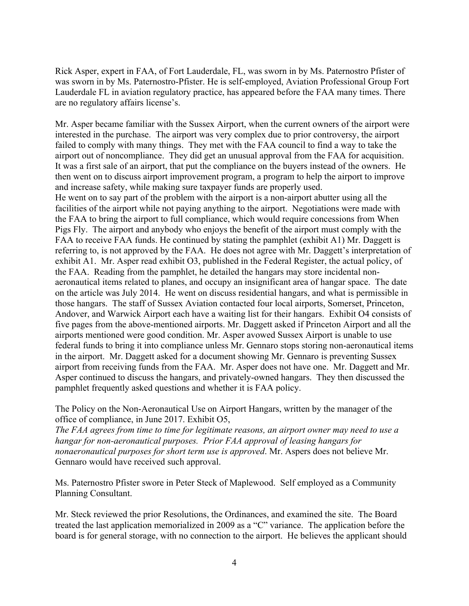Rick Asper, expert in FAA, of Fort Lauderdale, FL, was sworn in by Ms. Paternostro Pfister of was sworn in by Ms. Paternostro-Pfister. He is self-employed, Aviation Professional Group Fort Lauderdale FL in aviation regulatory practice, has appeared before the FAA many times. There are no regulatory affairs license's.

Mr. Asper became familiar with the Sussex Airport, when the current owners of the airport were interested in the purchase. The airport was very complex due to prior controversy, the airport failed to comply with many things. They met with the FAA council to find a way to take the airport out of noncompliance. They did get an unusual approval from the FAA for acquisition. It was a first sale of an airport, that put the compliance on the buyers instead of the owners. He then went on to discuss airport improvement program, a program to help the airport to improve and increase safety, while making sure taxpayer funds are properly used. He went on to say part of the problem with the airport is a non-airport abutter using all the facilities of the airport while not paying anything to the airport. Negotiations were made with the FAA to bring the airport to full compliance, which would require concessions from When Pigs Fly. The airport and anybody who enjoys the benefit of the airport must comply with the FAA to receive FAA funds. He continued by stating the pamphlet (exhibit A1) Mr. Daggett is referring to, is not approved by the FAA. He does not agree with Mr. Daggett's interpretation of exhibit A1. Mr. Asper read exhibit O3, published in the Federal Register, the actual policy, of the FAA. Reading from the pamphlet, he detailed the hangars may store incidental nonaeronautical items related to planes, and occupy an insignificant area of hangar space. The date on the article was July 2014. He went on discuss residential hangars, and what is permissible in those hangars. The staff of Sussex Aviation contacted four local airports, Somerset, Princeton, Andover, and Warwick Airport each have a waiting list for their hangars. Exhibit O4 consists of five pages from the above-mentioned airports. Mr. Daggett asked if Princeton Airport and all the airports mentioned were good condition. Mr. Asper avowed Sussex Airport is unable to use federal funds to bring it into compliance unless Mr. Gennaro stops storing non-aeronautical items in the airport. Mr. Daggett asked for a document showing Mr. Gennaro is preventing Sussex airport from receiving funds from the FAA. Mr. Asper does not have one. Mr. Daggett and Mr. Asper continued to discuss the hangars, and privately-owned hangars. They then discussed the pamphlet frequently asked questions and whether it is FAA policy.

The Policy on the Non-Aeronautical Use on Airport Hangars, written by the manager of the office of compliance, in June 2017. Exhibit O5,

*The FAA agrees from time to time for legitimate reasons, an airport owner may need to use a hangar for non-aeronautical purposes. Prior FAA approval of leasing hangars for nonaeronautical purposes for short term use is approved*. Mr. Aspers does not believe Mr. Gennaro would have received such approval.

Ms. Paternostro Pfister swore in Peter Steck of Maplewood. Self employed as a Community Planning Consultant.

Mr. Steck reviewed the prior Resolutions, the Ordinances, and examined the site. The Board treated the last application memorialized in 2009 as a "C" variance. The application before the board is for general storage, with no connection to the airport. He believes the applicant should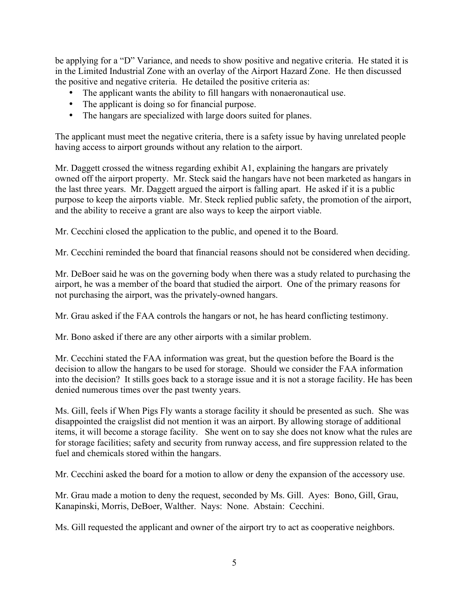be applying for a "D" Variance, and needs to show positive and negative criteria. He stated it is in the Limited Industrial Zone with an overlay of the Airport Hazard Zone. He then discussed the positive and negative criteria. He detailed the positive criteria as:

- The applicant wants the ability to fill hangars with nonaeronautical use.
- The applicant is doing so for financial purpose.
- The hangars are specialized with large doors suited for planes.

The applicant must meet the negative criteria, there is a safety issue by having unrelated people having access to airport grounds without any relation to the airport.

Mr. Daggett crossed the witness regarding exhibit A1, explaining the hangars are privately owned off the airport property. Mr. Steck said the hangars have not been marketed as hangars in the last three years. Mr. Daggett argued the airport is falling apart. He asked if it is a public purpose to keep the airports viable. Mr. Steck replied public safety, the promotion of the airport, and the ability to receive a grant are also ways to keep the airport viable.

Mr. Cecchini closed the application to the public, and opened it to the Board.

Mr. Cecchini reminded the board that financial reasons should not be considered when deciding.

Mr. DeBoer said he was on the governing body when there was a study related to purchasing the airport, he was a member of the board that studied the airport. One of the primary reasons for not purchasing the airport, was the privately-owned hangars.

Mr. Grau asked if the FAA controls the hangars or not, he has heard conflicting testimony.

Mr. Bono asked if there are any other airports with a similar problem.

Mr. Cecchini stated the FAA information was great, but the question before the Board is the decision to allow the hangars to be used for storage. Should we consider the FAA information into the decision? It stills goes back to a storage issue and it is not a storage facility. He has been denied numerous times over the past twenty years.

Ms. Gill, feels if When Pigs Fly wants a storage facility it should be presented as such. She was disappointed the craigslist did not mention it was an airport. By allowing storage of additional items, it will become a storage facility. She went on to say she does not know what the rules are for storage facilities; safety and security from runway access, and fire suppression related to the fuel and chemicals stored within the hangars.

Mr. Cecchini asked the board for a motion to allow or deny the expansion of the accessory use.

Mr. Grau made a motion to deny the request, seconded by Ms. Gill. Ayes: Bono, Gill, Grau, Kanapinski, Morris, DeBoer, Walther. Nays: None. Abstain: Cecchini.

Ms. Gill requested the applicant and owner of the airport try to act as cooperative neighbors.